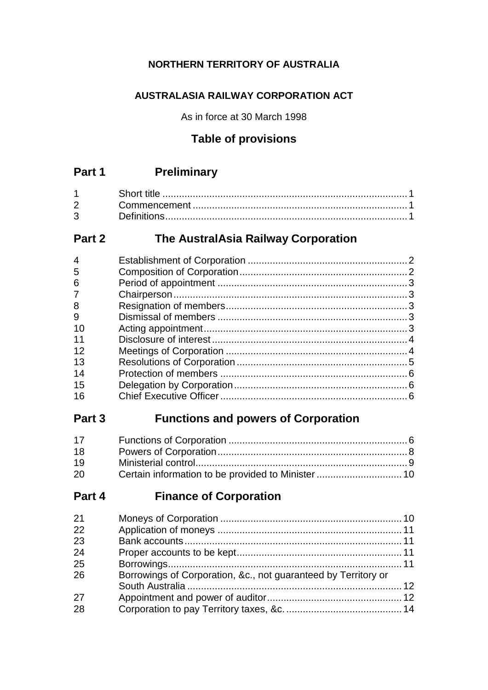### **NORTHERN TERRITORY OF AUSTRALIA**

## **AUSTRALASIA RAILWAY CORPORATION ACT**

As in force at 30 March 1998

# **Table of provisions**

# **Part 1 Preliminary**

| $2^{\sim}$ |  |
|------------|--|
| 3          |  |

# **Part 2 The AustralAsia Railway Corporation**

| 4              |  |
|----------------|--|
| 5              |  |
| 6              |  |
| $\overline{7}$ |  |
| 8              |  |
| 9              |  |
| 10             |  |
| 11             |  |
| 12             |  |
| 13             |  |
| 14             |  |
| 15             |  |
| 16             |  |
|                |  |

# **Part 3 Functions and powers of Corporation**

| 17 |  |
|----|--|
| 18 |  |
| 19 |  |
| 20 |  |

# **Part 4 Finance of Corporation**

| 21 |                                                                |  |
|----|----------------------------------------------------------------|--|
| 22 |                                                                |  |
| 23 |                                                                |  |
| 24 |                                                                |  |
| 25 |                                                                |  |
| 26 | Borrowings of Corporation, &c., not guaranteed by Territory or |  |
|    |                                                                |  |
| 27 |                                                                |  |
| 28 |                                                                |  |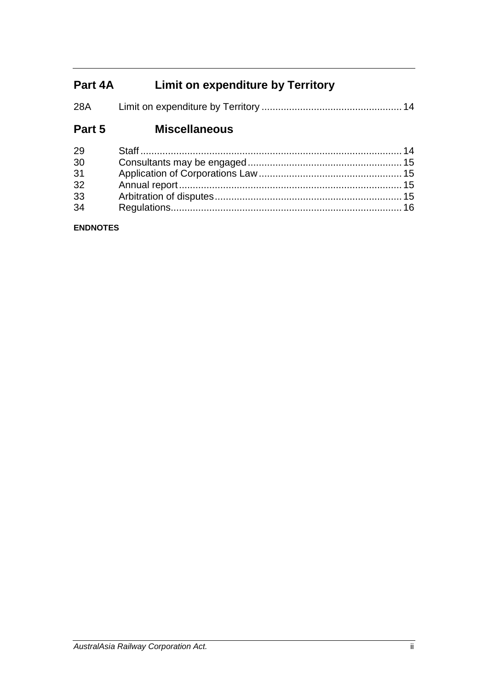# **Part 4A Limit on expenditure by Territory**

| 28A |  |  |
|-----|--|--|
|     |  |  |

# **Part 5 Miscellaneous**

| 29 |  |
|----|--|
| 30 |  |
| 31 |  |
| 32 |  |
| 33 |  |
| 34 |  |

### **ENDNOTES**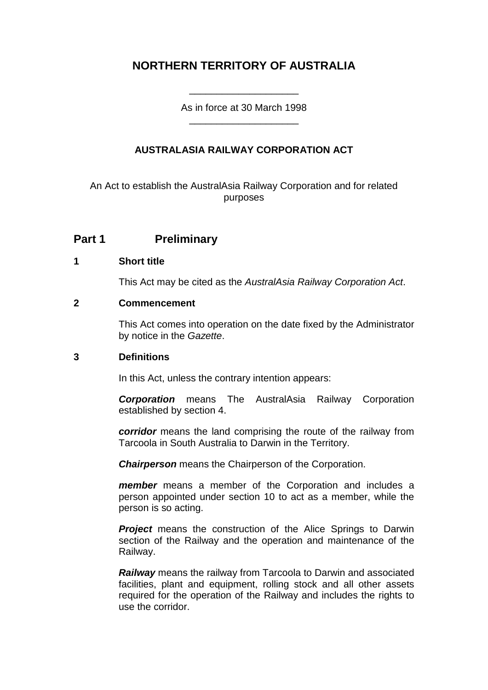# **NORTHERN TERRITORY OF AUSTRALIA**

As in force at 30 March 1998 \_\_\_\_\_\_\_\_\_\_\_\_\_\_\_\_\_\_\_\_

\_\_\_\_\_\_\_\_\_\_\_\_\_\_\_\_\_\_\_\_

### **AUSTRALASIA RAILWAY CORPORATION ACT**

An Act to establish the AustralAsia Railway Corporation and for related purposes

## **Part 1 Preliminary**

#### **1 Short title**

This Act may be cited as the *AustralAsia Railway Corporation Act*.

#### **2 Commencement**

This Act comes into operation on the date fixed by the Administrator by notice in the *Gazette*.

#### **3 Definitions**

In this Act, unless the contrary intention appears:

*Corporation* means The AustralAsia Railway Corporation established by section 4.

*corridor* means the land comprising the route of the railway from Tarcoola in South Australia to Darwin in the Territory.

*Chairperson* means the Chairperson of the Corporation.

*member* means a member of the Corporation and includes a person appointed under section 10 to act as a member, while the person is so acting.

**Project** means the construction of the Alice Springs to Darwin section of the Railway and the operation and maintenance of the Railway.

*Railway* means the railway from Tarcoola to Darwin and associated facilities, plant and equipment, rolling stock and all other assets required for the operation of the Railway and includes the rights to use the corridor.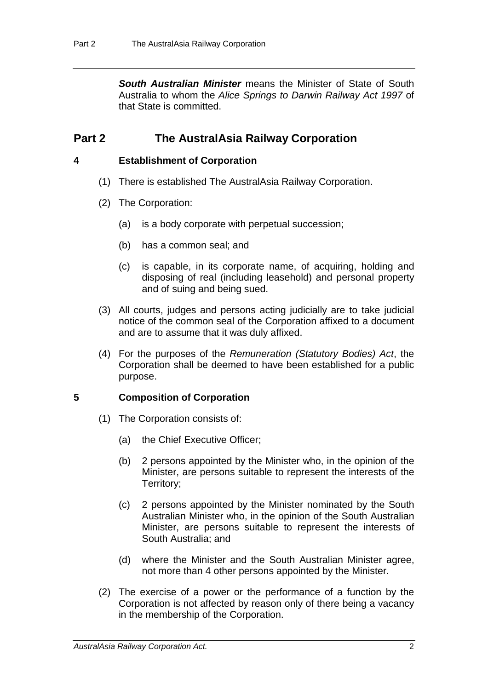**South Australian Minister** means the Minister of State of South Australia to whom the *Alice Springs to Darwin Railway Act 1997* of that State is committed.

# **Part 2 The AustralAsia Railway Corporation**

#### **4 Establishment of Corporation**

- (1) There is established The AustralAsia Railway Corporation.
- (2) The Corporation:
	- (a) is a body corporate with perpetual succession;
	- (b) has a common seal; and
	- (c) is capable, in its corporate name, of acquiring, holding and disposing of real (including leasehold) and personal property and of suing and being sued.
- (3) All courts, judges and persons acting judicially are to take judicial notice of the common seal of the Corporation affixed to a document and are to assume that it was duly affixed.
- (4) For the purposes of the *Remuneration (Statutory Bodies) Act*, the Corporation shall be deemed to have been established for a public purpose.

### **5 Composition of Corporation**

- (1) The Corporation consists of:
	- (a) the Chief Executive Officer;
	- (b) 2 persons appointed by the Minister who, in the opinion of the Minister, are persons suitable to represent the interests of the Territory;
	- (c) 2 persons appointed by the Minister nominated by the South Australian Minister who, in the opinion of the South Australian Minister, are persons suitable to represent the interests of South Australia; and
	- (d) where the Minister and the South Australian Minister agree, not more than 4 other persons appointed by the Minister.
- (2) The exercise of a power or the performance of a function by the Corporation is not affected by reason only of there being a vacancy in the membership of the Corporation.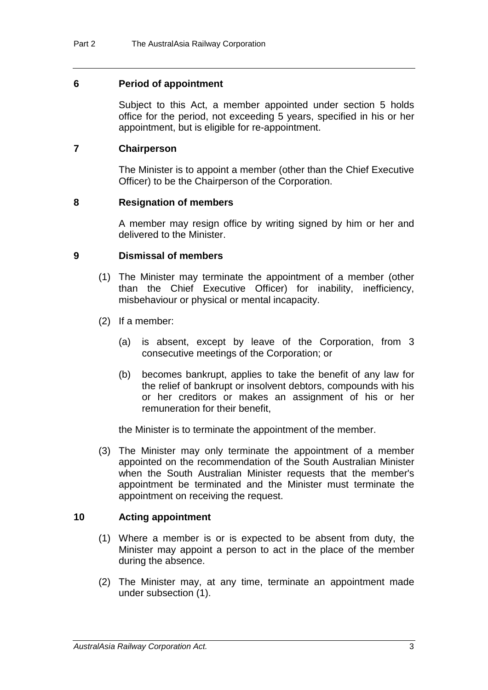#### **6 Period of appointment**

Subject to this Act, a member appointed under section 5 holds office for the period, not exceeding 5 years, specified in his or her appointment, but is eligible for re-appointment.

#### **7 Chairperson**

The Minister is to appoint a member (other than the Chief Executive Officer) to be the Chairperson of the Corporation.

#### **8 Resignation of members**

A member may resign office by writing signed by him or her and delivered to the Minister.

#### **9 Dismissal of members**

- (1) The Minister may terminate the appointment of a member (other than the Chief Executive Officer) for inability, inefficiency, misbehaviour or physical or mental incapacity.
- (2) If a member:
	- (a) is absent, except by leave of the Corporation, from 3 consecutive meetings of the Corporation; or
	- (b) becomes bankrupt, applies to take the benefit of any law for the relief of bankrupt or insolvent debtors, compounds with his or her creditors or makes an assignment of his or her remuneration for their benefit,

the Minister is to terminate the appointment of the member.

(3) The Minister may only terminate the appointment of a member appointed on the recommendation of the South Australian Minister when the South Australian Minister requests that the member's appointment be terminated and the Minister must terminate the appointment on receiving the request.

### **10 Acting appointment**

- (1) Where a member is or is expected to be absent from duty, the Minister may appoint a person to act in the place of the member during the absence.
- (2) The Minister may, at any time, terminate an appointment made under subsection (1).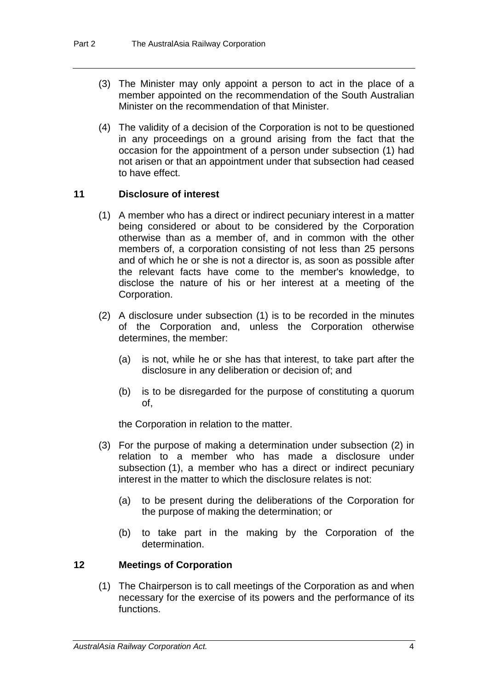- (3) The Minister may only appoint a person to act in the place of a member appointed on the recommendation of the South Australian Minister on the recommendation of that Minister.
- (4) The validity of a decision of the Corporation is not to be questioned in any proceedings on a ground arising from the fact that the occasion for the appointment of a person under subsection (1) had not arisen or that an appointment under that subsection had ceased to have effect.

#### **11 Disclosure of interest**

- (1) A member who has a direct or indirect pecuniary interest in a matter being considered or about to be considered by the Corporation otherwise than as a member of, and in common with the other members of, a corporation consisting of not less than 25 persons and of which he or she is not a director is, as soon as possible after the relevant facts have come to the member's knowledge, to disclose the nature of his or her interest at a meeting of the Corporation.
- (2) A disclosure under subsection (1) is to be recorded in the minutes of the Corporation and, unless the Corporation otherwise determines, the member:
	- (a) is not, while he or she has that interest, to take part after the disclosure in any deliberation or decision of; and
	- (b) is to be disregarded for the purpose of constituting a quorum of,

the Corporation in relation to the matter.

- (3) For the purpose of making a determination under subsection (2) in relation to a member who has made a disclosure under subsection (1), a member who has a direct or indirect pecuniary interest in the matter to which the disclosure relates is not:
	- (a) to be present during the deliberations of the Corporation for the purpose of making the determination; or
	- (b) to take part in the making by the Corporation of the determination.

#### **12 Meetings of Corporation**

(1) The Chairperson is to call meetings of the Corporation as and when necessary for the exercise of its powers and the performance of its functions.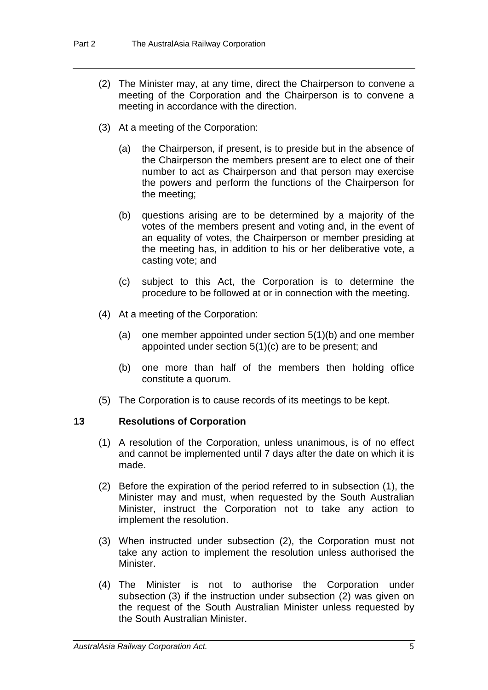- (2) The Minister may, at any time, direct the Chairperson to convene a meeting of the Corporation and the Chairperson is to convene a meeting in accordance with the direction.
- (3) At a meeting of the Corporation:
	- (a) the Chairperson, if present, is to preside but in the absence of the Chairperson the members present are to elect one of their number to act as Chairperson and that person may exercise the powers and perform the functions of the Chairperson for the meeting;
	- (b) questions arising are to be determined by a majority of the votes of the members present and voting and, in the event of an equality of votes, the Chairperson or member presiding at the meeting has, in addition to his or her deliberative vote, a casting vote; and
	- (c) subject to this Act, the Corporation is to determine the procedure to be followed at or in connection with the meeting.
- (4) At a meeting of the Corporation:
	- (a) one member appointed under section 5(1)(b) and one member appointed under section 5(1)(c) are to be present; and
	- (b) one more than half of the members then holding office constitute a quorum.
- (5) The Corporation is to cause records of its meetings to be kept.

#### **13 Resolutions of Corporation**

- (1) A resolution of the Corporation, unless unanimous, is of no effect and cannot be implemented until 7 days after the date on which it is made.
- (2) Before the expiration of the period referred to in subsection (1), the Minister may and must, when requested by the South Australian Minister, instruct the Corporation not to take any action to implement the resolution.
- (3) When instructed under subsection (2), the Corporation must not take any action to implement the resolution unless authorised the Minister.
- (4) The Minister is not to authorise the Corporation under subsection (3) if the instruction under subsection (2) was given on the request of the South Australian Minister unless requested by the South Australian Minister.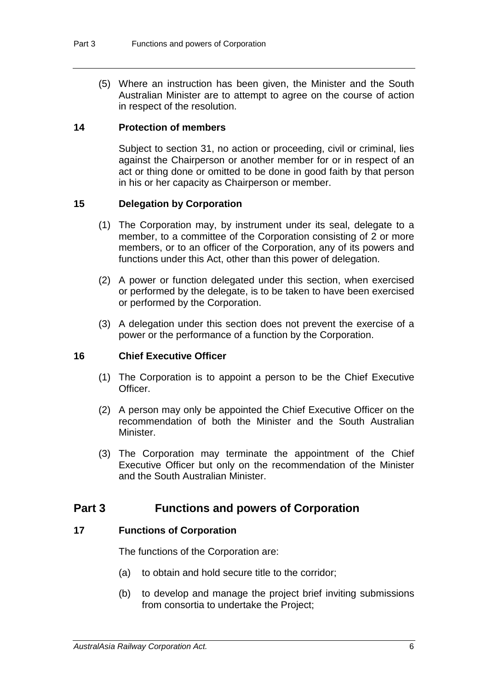(5) Where an instruction has been given, the Minister and the South Australian Minister are to attempt to agree on the course of action in respect of the resolution.

#### **14 Protection of members**

Subject to section 31, no action or proceeding, civil or criminal, lies against the Chairperson or another member for or in respect of an act or thing done or omitted to be done in good faith by that person in his or her capacity as Chairperson or member.

#### **15 Delegation by Corporation**

- (1) The Corporation may, by instrument under its seal, delegate to a member, to a committee of the Corporation consisting of 2 or more members, or to an officer of the Corporation, any of its powers and functions under this Act, other than this power of delegation.
- (2) A power or function delegated under this section, when exercised or performed by the delegate, is to be taken to have been exercised or performed by the Corporation.
- (3) A delegation under this section does not prevent the exercise of a power or the performance of a function by the Corporation.

#### **16 Chief Executive Officer**

- (1) The Corporation is to appoint a person to be the Chief Executive Officer.
- (2) A person may only be appointed the Chief Executive Officer on the recommendation of both the Minister and the South Australian Minister.
- (3) The Corporation may terminate the appointment of the Chief Executive Officer but only on the recommendation of the Minister and the South Australian Minister.

### **Part 3 Functions and powers of Corporation**

#### **17 Functions of Corporation**

The functions of the Corporation are:

- (a) to obtain and hold secure title to the corridor;
- (b) to develop and manage the project brief inviting submissions from consortia to undertake the Project;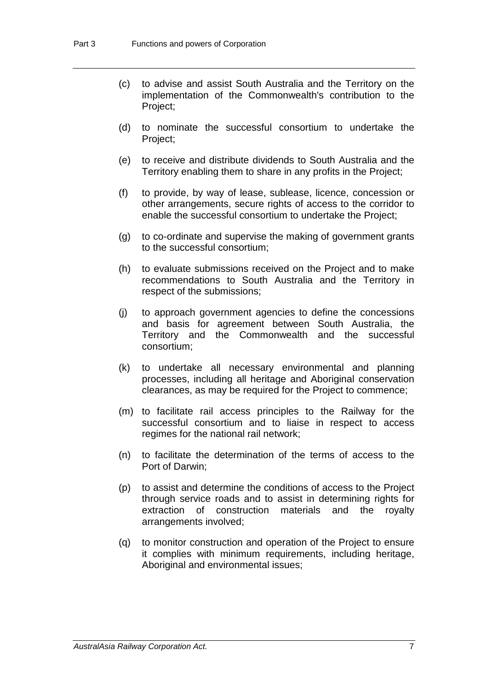- (c) to advise and assist South Australia and the Territory on the implementation of the Commonwealth's contribution to the Project;
- (d) to nominate the successful consortium to undertake the Project;
- (e) to receive and distribute dividends to South Australia and the Territory enabling them to share in any profits in the Project;
- (f) to provide, by way of lease, sublease, licence, concession or other arrangements, secure rights of access to the corridor to enable the successful consortium to undertake the Project;
- (g) to co-ordinate and supervise the making of government grants to the successful consortium;
- (h) to evaluate submissions received on the Project and to make recommendations to South Australia and the Territory in respect of the submissions;
- (j) to approach government agencies to define the concessions and basis for agreement between South Australia, the Territory and the Commonwealth and the successful consortium;
- (k) to undertake all necessary environmental and planning processes, including all heritage and Aboriginal conservation clearances, as may be required for the Project to commence;
- (m) to facilitate rail access principles to the Railway for the successful consortium and to liaise in respect to access regimes for the national rail network;
- (n) to facilitate the determination of the terms of access to the Port of Darwin;
- (p) to assist and determine the conditions of access to the Project through service roads and to assist in determining rights for extraction of construction materials and the royalty arrangements involved;
- (q) to monitor construction and operation of the Project to ensure it complies with minimum requirements, including heritage, Aboriginal and environmental issues: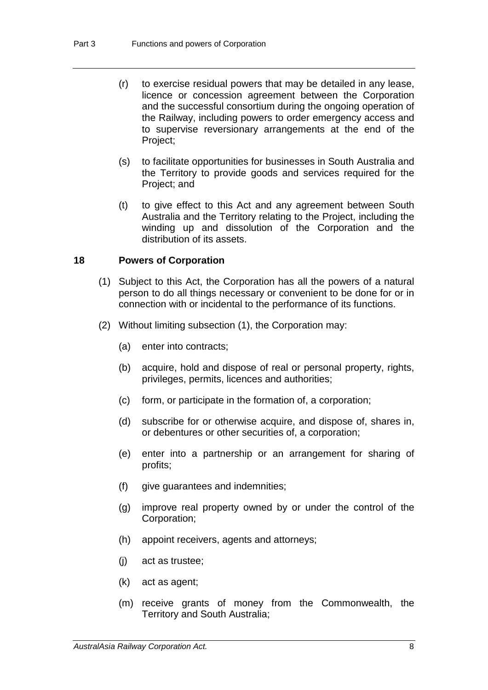- (r) to exercise residual powers that may be detailed in any lease, licence or concession agreement between the Corporation and the successful consortium during the ongoing operation of the Railway, including powers to order emergency access and to supervise reversionary arrangements at the end of the Project;
- (s) to facilitate opportunities for businesses in South Australia and the Territory to provide goods and services required for the Project; and
- (t) to give effect to this Act and any agreement between South Australia and the Territory relating to the Project, including the winding up and dissolution of the Corporation and the distribution of its assets.

#### **18 Powers of Corporation**

- (1) Subject to this Act, the Corporation has all the powers of a natural person to do all things necessary or convenient to be done for or in connection with or incidental to the performance of its functions.
- (2) Without limiting subsection (1), the Corporation may:
	- (a) enter into contracts;
	- (b) acquire, hold and dispose of real or personal property, rights, privileges, permits, licences and authorities;
	- (c) form, or participate in the formation of, a corporation;
	- (d) subscribe for or otherwise acquire, and dispose of, shares in, or debentures or other securities of, a corporation;
	- (e) enter into a partnership or an arrangement for sharing of profits;
	- (f) give guarantees and indemnities;
	- (g) improve real property owned by or under the control of the Corporation;
	- (h) appoint receivers, agents and attorneys;
	- (j) act as trustee;
	- (k) act as agent;
	- (m) receive grants of money from the Commonwealth, the Territory and South Australia;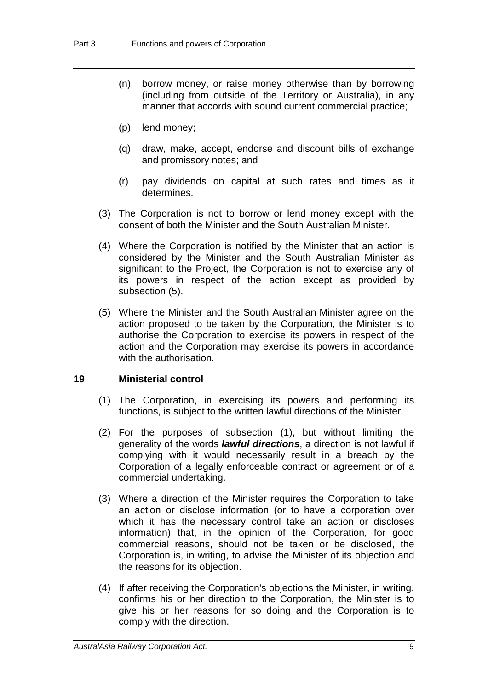- (n) borrow money, or raise money otherwise than by borrowing (including from outside of the Territory or Australia), in any manner that accords with sound current commercial practice;
- (p) lend money;
- (q) draw, make, accept, endorse and discount bills of exchange and promissory notes; and
- (r) pay dividends on capital at such rates and times as it determines.
- (3) The Corporation is not to borrow or lend money except with the consent of both the Minister and the South Australian Minister.
- (4) Where the Corporation is notified by the Minister that an action is considered by the Minister and the South Australian Minister as significant to the Project, the Corporation is not to exercise any of its powers in respect of the action except as provided by subsection (5).
- (5) Where the Minister and the South Australian Minister agree on the action proposed to be taken by the Corporation, the Minister is to authorise the Corporation to exercise its powers in respect of the action and the Corporation may exercise its powers in accordance with the authorisation.

#### **19 Ministerial control**

- (1) The Corporation, in exercising its powers and performing its functions, is subject to the written lawful directions of the Minister.
- (2) For the purposes of subsection (1), but without limiting the generality of the words *lawful directions*, a direction is not lawful if complying with it would necessarily result in a breach by the Corporation of a legally enforceable contract or agreement or of a commercial undertaking.
- (3) Where a direction of the Minister requires the Corporation to take an action or disclose information (or to have a corporation over which it has the necessary control take an action or discloses information) that, in the opinion of the Corporation, for good commercial reasons, should not be taken or be disclosed, the Corporation is, in writing, to advise the Minister of its objection and the reasons for its objection.
- (4) If after receiving the Corporation's objections the Minister, in writing, confirms his or her direction to the Corporation, the Minister is to give his or her reasons for so doing and the Corporation is to comply with the direction.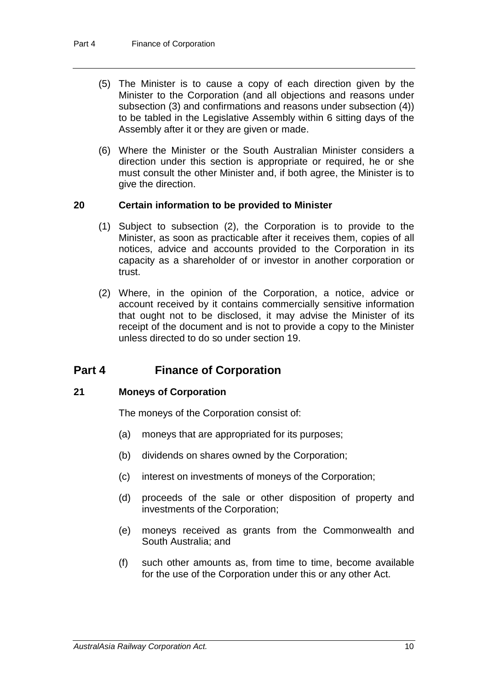- (5) The Minister is to cause a copy of each direction given by the Minister to the Corporation (and all objections and reasons under subsection (3) and confirmations and reasons under subsection (4)) to be tabled in the Legislative Assembly within 6 sitting days of the Assembly after it or they are given or made.
- (6) Where the Minister or the South Australian Minister considers a direction under this section is appropriate or required, he or she must consult the other Minister and, if both agree, the Minister is to give the direction.

#### **20 Certain information to be provided to Minister**

- (1) Subject to subsection (2), the Corporation is to provide to the Minister, as soon as practicable after it receives them, copies of all notices, advice and accounts provided to the Corporation in its capacity as a shareholder of or investor in another corporation or trust.
- (2) Where, in the opinion of the Corporation, a notice, advice or account received by it contains commercially sensitive information that ought not to be disclosed, it may advise the Minister of its receipt of the document and is not to provide a copy to the Minister unless directed to do so under section 19.

### **Part 4 Finance of Corporation**

#### **21 Moneys of Corporation**

The moneys of the Corporation consist of:

- (a) moneys that are appropriated for its purposes;
- (b) dividends on shares owned by the Corporation;
- (c) interest on investments of moneys of the Corporation;
- (d) proceeds of the sale or other disposition of property and investments of the Corporation;
- (e) moneys received as grants from the Commonwealth and South Australia; and
- (f) such other amounts as, from time to time, become available for the use of the Corporation under this or any other Act.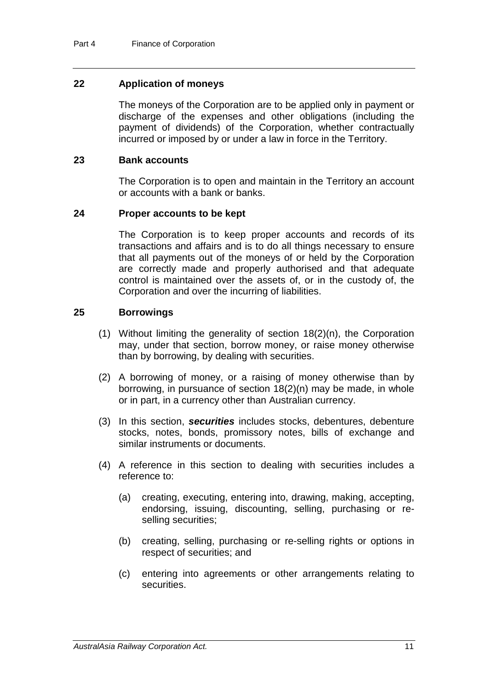#### **22 Application of moneys**

The moneys of the Corporation are to be applied only in payment or discharge of the expenses and other obligations (including the payment of dividends) of the Corporation, whether contractually incurred or imposed by or under a law in force in the Territory.

#### **23 Bank accounts**

The Corporation is to open and maintain in the Territory an account or accounts with a bank or banks.

#### **24 Proper accounts to be kept**

The Corporation is to keep proper accounts and records of its transactions and affairs and is to do all things necessary to ensure that all payments out of the moneys of or held by the Corporation are correctly made and properly authorised and that adequate control is maintained over the assets of, or in the custody of, the Corporation and over the incurring of liabilities.

#### **25 Borrowings**

- (1) Without limiting the generality of section 18(2)(n), the Corporation may, under that section, borrow money, or raise money otherwise than by borrowing, by dealing with securities.
- (2) A borrowing of money, or a raising of money otherwise than by borrowing, in pursuance of section 18(2)(n) may be made, in whole or in part, in a currency other than Australian currency.
- (3) In this section, *securities* includes stocks, debentures, debenture stocks, notes, bonds, promissory notes, bills of exchange and similar instruments or documents.
- (4) A reference in this section to dealing with securities includes a reference to:
	- (a) creating, executing, entering into, drawing, making, accepting, endorsing, issuing, discounting, selling, purchasing or reselling securities;
	- (b) creating, selling, purchasing or re-selling rights or options in respect of securities; and
	- (c) entering into agreements or other arrangements relating to securities.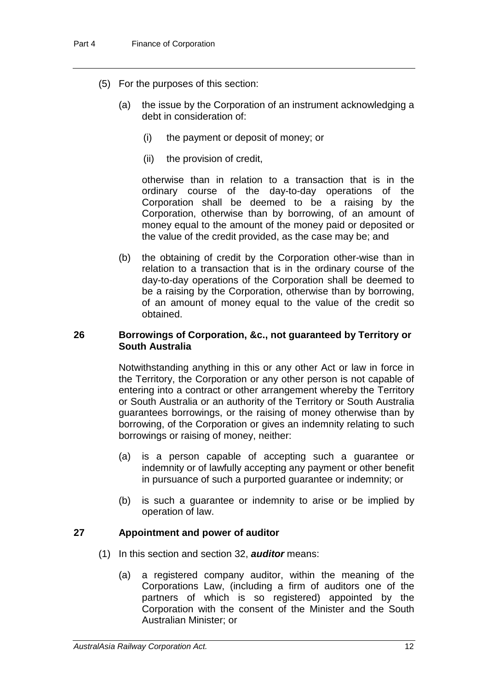- (5) For the purposes of this section:
	- (a) the issue by the Corporation of an instrument acknowledging a debt in consideration of:
		- (i) the payment or deposit of money; or
		- (ii) the provision of credit,

otherwise than in relation to a transaction that is in the ordinary course of the day-to-day operations of the Corporation shall be deemed to be a raising by the Corporation, otherwise than by borrowing, of an amount of money equal to the amount of the money paid or deposited or the value of the credit provided, as the case may be; and

(b) the obtaining of credit by the Corporation other-wise than in relation to a transaction that is in the ordinary course of the day-to-day operations of the Corporation shall be deemed to be a raising by the Corporation, otherwise than by borrowing, of an amount of money equal to the value of the credit so obtained.

#### **26 Borrowings of Corporation, &c., not guaranteed by Territory or South Australia**

Notwithstanding anything in this or any other Act or law in force in the Territory, the Corporation or any other person is not capable of entering into a contract or other arrangement whereby the Territory or South Australia or an authority of the Territory or South Australia guarantees borrowings, or the raising of money otherwise than by borrowing, of the Corporation or gives an indemnity relating to such borrowings or raising of money, neither:

- (a) is a person capable of accepting such a guarantee or indemnity or of lawfully accepting any payment or other benefit in pursuance of such a purported guarantee or indemnity; or
- (b) is such a guarantee or indemnity to arise or be implied by operation of law.

#### **27 Appointment and power of auditor**

- (1) In this section and section 32, *auditor* means:
	- (a) a registered company auditor, within the meaning of the Corporations Law, (including a firm of auditors one of the partners of which is so registered) appointed by the Corporation with the consent of the Minister and the South Australian Minister; or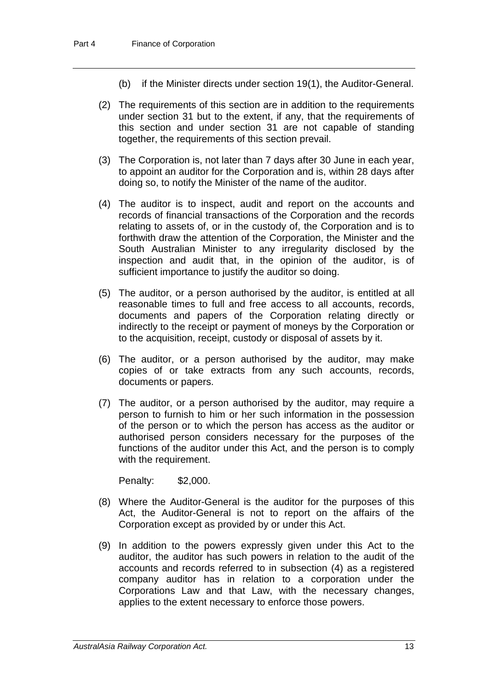- (b) if the Minister directs under section 19(1), the Auditor-General.
- (2) The requirements of this section are in addition to the requirements under section 31 but to the extent, if any, that the requirements of this section and under section 31 are not capable of standing together, the requirements of this section prevail.
- (3) The Corporation is, not later than 7 days after 30 June in each year, to appoint an auditor for the Corporation and is, within 28 days after doing so, to notify the Minister of the name of the auditor.
- (4) The auditor is to inspect, audit and report on the accounts and records of financial transactions of the Corporation and the records relating to assets of, or in the custody of, the Corporation and is to forthwith draw the attention of the Corporation, the Minister and the South Australian Minister to any irregularity disclosed by the inspection and audit that, in the opinion of the auditor, is of sufficient importance to justify the auditor so doing.
- (5) The auditor, or a person authorised by the auditor, is entitled at all reasonable times to full and free access to all accounts, records, documents and papers of the Corporation relating directly or indirectly to the receipt or payment of moneys by the Corporation or to the acquisition, receipt, custody or disposal of assets by it.
- (6) The auditor, or a person authorised by the auditor, may make copies of or take extracts from any such accounts, records, documents or papers.
- (7) The auditor, or a person authorised by the auditor, may require a person to furnish to him or her such information in the possession of the person or to which the person has access as the auditor or authorised person considers necessary for the purposes of the functions of the auditor under this Act, and the person is to comply with the requirement.

Penalty: \$2,000.

- (8) Where the Auditor-General is the auditor for the purposes of this Act, the Auditor-General is not to report on the affairs of the Corporation except as provided by or under this Act.
- (9) In addition to the powers expressly given under this Act to the auditor, the auditor has such powers in relation to the audit of the accounts and records referred to in subsection (4) as a registered company auditor has in relation to a corporation under the Corporations Law and that Law, with the necessary changes, applies to the extent necessary to enforce those powers.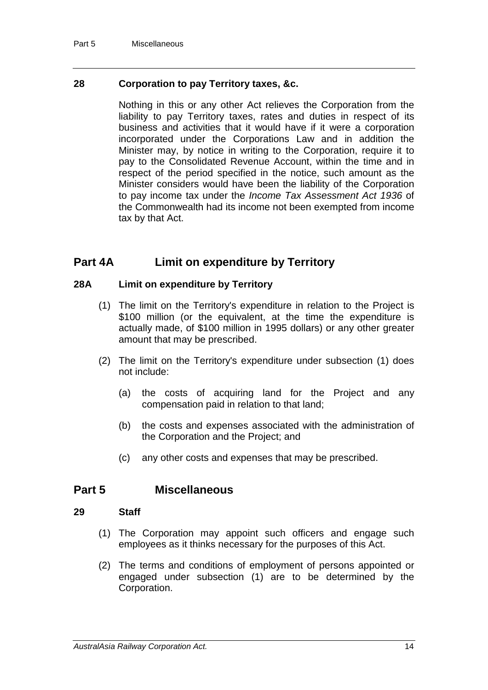#### **28 Corporation to pay Territory taxes, &c.**

Nothing in this or any other Act relieves the Corporation from the liability to pay Territory taxes, rates and duties in respect of its business and activities that it would have if it were a corporation incorporated under the Corporations Law and in addition the Minister may, by notice in writing to the Corporation, require it to pay to the Consolidated Revenue Account, within the time and in respect of the period specified in the notice, such amount as the Minister considers would have been the liability of the Corporation to pay income tax under the *Income Tax Assessment Act 1936* of the Commonwealth had its income not been exempted from income tax by that Act.

### **Part 4A Limit on expenditure by Territory**

#### **28A Limit on expenditure by Territory**

- (1) The limit on the Territory's expenditure in relation to the Project is \$100 million (or the equivalent, at the time the expenditure is actually made, of \$100 million in 1995 dollars) or any other greater amount that may be prescribed.
- (2) The limit on the Territory's expenditure under subsection (1) does not include:
	- (a) the costs of acquiring land for the Project and any compensation paid in relation to that land;
	- (b) the costs and expenses associated with the administration of the Corporation and the Project; and
	- (c) any other costs and expenses that may be prescribed.

### **Part 5 Miscellaneous**

#### **29 Staff**

- (1) The Corporation may appoint such officers and engage such employees as it thinks necessary for the purposes of this Act.
- (2) The terms and conditions of employment of persons appointed or engaged under subsection (1) are to be determined by the Corporation.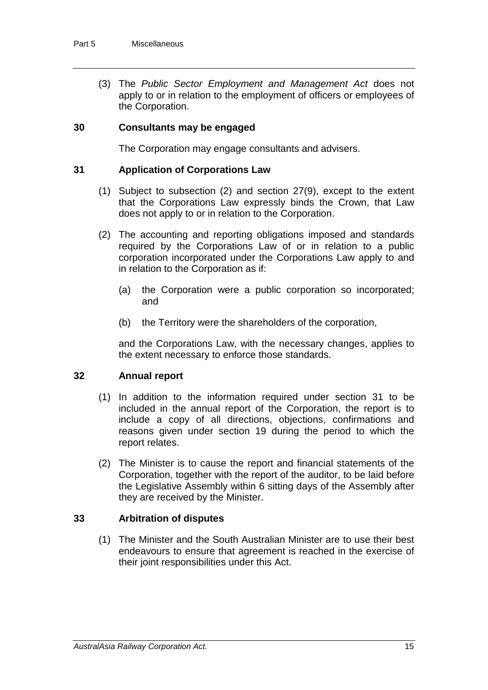(3) The *Public Sector Employment and Management Act* does not apply to or in relation to the employment of officers or employees of the Corporation.

#### **30 Consultants may be engaged**

The Corporation may engage consultants and advisers.

#### **31 Application of Corporations Law**

- (1) Subject to subsection (2) and section 27(9), except to the extent that the Corporations Law expressly binds the Crown, that Law does not apply to or in relation to the Corporation.
- (2) The accounting and reporting obligations imposed and standards required by the Corporations Law of or in relation to a public corporation incorporated under the Corporations Law apply to and in relation to the Corporation as if:
	- (a) the Corporation were a public corporation so incorporated; and
	- (b) the Territory were the shareholders of the corporation,

and the Corporations Law, with the necessary changes, applies to the extent necessary to enforce those standards.

#### **32 Annual report**

- (1) In addition to the information required under section 31 to be included in the annual report of the Corporation, the report is to include a copy of all directions, objections, confirmations and reasons given under section 19 during the period to which the report relates.
- (2) The Minister is to cause the report and financial statements of the Corporation, together with the report of the auditor, to be laid before the Legislative Assembly within 6 sitting days of the Assembly after they are received by the Minister.

### **33 Arbitration of disputes**

(1) The Minister and the South Australian Minister are to use their best endeavours to ensure that agreement is reached in the exercise of their joint responsibilities under this Act.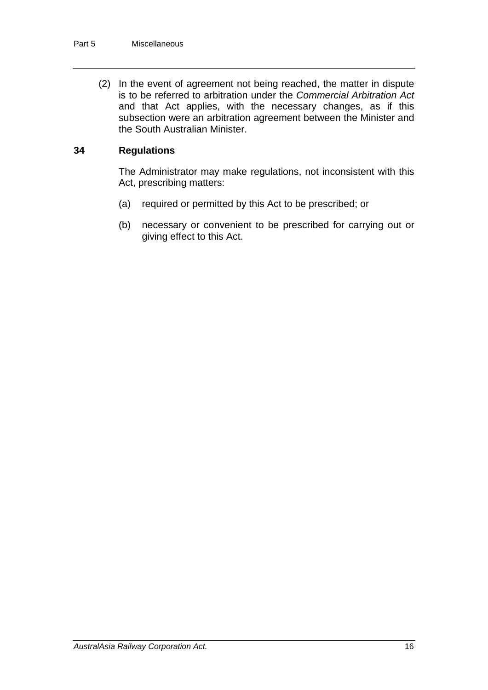(2) In the event of agreement not being reached, the matter in dispute is to be referred to arbitration under the *Commercial Arbitration Act* and that Act applies, with the necessary changes, as if this subsection were an arbitration agreement between the Minister and the South Australian Minister.

#### **34 Regulations**

The Administrator may make regulations, not inconsistent with this Act, prescribing matters:

- (a) required or permitted by this Act to be prescribed; or
- (b) necessary or convenient to be prescribed for carrying out or giving effect to this Act.